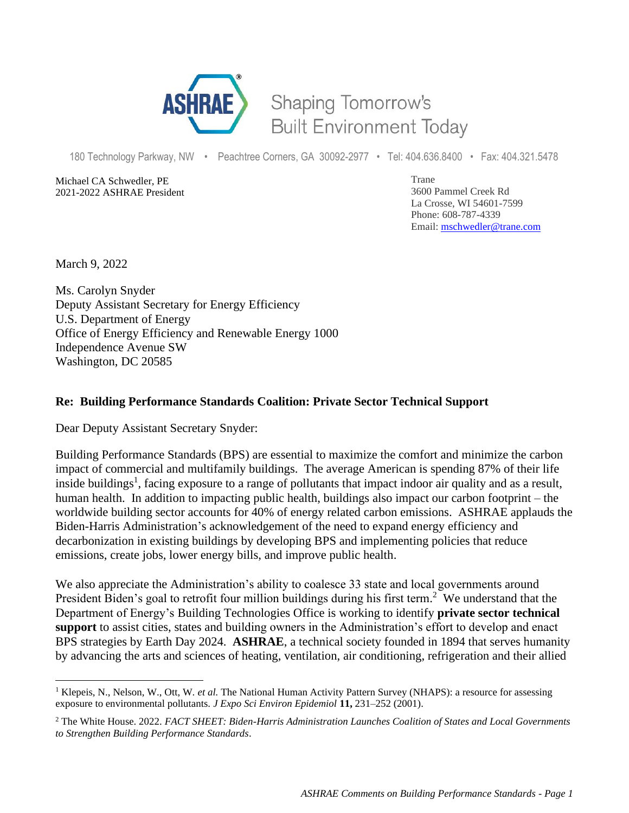

## Shaping Tomorrow's **Built Environment Today**

180 Technology Parkway, NW • Peachtree Corners, GA 30092-2977 • Tel: 404.636.8400 • Fax: 404.321.5478

Michael CA Schwedler, PE 2021-2022 ASHRAE President Trane 3600 Pammel Creek Rd La Crosse, WI 54601-7599 Phone: 608-787-4339 Email: [mschwedler@trane.com](about:blank)

March 9, 2022

Ms. Carolyn Snyder Deputy Assistant Secretary for Energy Efficiency U.S. Department of Energy Office of Energy Efficiency and Renewable Energy 1000 Independence Avenue SW Washington, DC 20585

## **Re: Building Performance Standards Coalition: Private Sector Technical Support**

Dear Deputy Assistant Secretary Snyder:

Building Performance Standards (BPS) are essential to maximize the comfort and minimize the carbon impact of commercial and multifamily buildings. The average American is spending 87% of their life inside buildings<sup>1</sup>, facing exposure to a range of pollutants that impact indoor air quality and as a result, human health. In addition to impacting public health, buildings also impact our carbon footprint – the worldwide building sector accounts for 40% of energy related carbon emissions. ASHRAE applauds the Biden-Harris Administration's acknowledgement of the need to expand energy efficiency and decarbonization in existing buildings by developing BPS and implementing policies that reduce emissions, create jobs, lower energy bills, and improve public health.

We also appreciate the Administration's ability to coalesce 33 state and local governments around President Biden's goal to retrofit four million buildings during his first term.<sup>2</sup> We understand that the Department of Energy's Building Technologies Office is working to identify **private sector technical support** to assist cities, states and building owners in the Administration's effort to develop and enact BPS strategies by Earth Day 2024. **ASHRAE**, a technical society founded in 1894 that serves humanity by advancing the arts and sciences of heating, ventilation, air conditioning, refrigeration and their allied

<sup>&</sup>lt;sup>1</sup> Klepeis, N., Nelson, W., Ott, W. *et al.* The National Human Activity Pattern Survey (NHAPS): a resource for assessing exposure to environmental pollutants. *J Expo Sci Environ Epidemiol* **11,** 231–252 (2001).

<sup>2</sup> The White House. 2022. *FACT SHEET: Biden-Harris Administration Launches Coalition of States and Local Governments to Strengthen Building Performance Standards*.